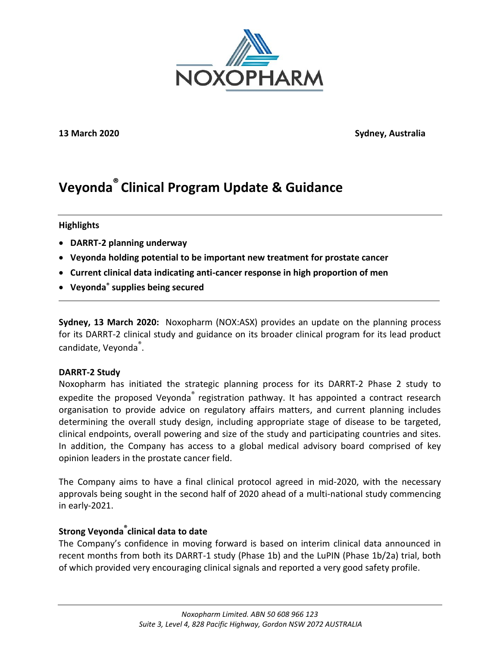

**13 March 2020 Sydney, Australia**

# **Veyonda® Clinical Program Update & Guidance**

#### **Highlights**

- **DARRT-2 planning underway**
- **Veyonda holding potential to be important new treatment for prostate cancer**
- **Current clinical data indicating anti-cancer response in high proportion of men**
- **Veyonda® supplies being secured**

**Sydney, 13 March 2020:** Noxopharm (NOX:ASX) provides an update on the planning process for its DARRT-2 clinical study and guidance on its broader clinical program for its lead product candidate, Veyonda<sup>®</sup>.

### **DARRT-2 Study**

Noxopharm has initiated the strategic planning process for its DARRT-2 Phase 2 study to expedite the proposed Veyonda<sup>®</sup> registration pathway. It has appointed a contract research organisation to provide advice on regulatory affairs matters, and current planning includes determining the overall study design, including appropriate stage of disease to be targeted, clinical endpoints, overall powering and size of the study and participating countries and sites. In addition, the Company has access to a global medical advisory board comprised of key opinion leaders in the prostate cancer field.

The Company aims to have a final clinical protocol agreed in mid-2020, with the necessary approvals being sought in the second half of 2020 ahead of a multi-national study commencing in early-2021.

## **Strong Veyonda® clinical data to date**

The Company's confidence in moving forward is based on interim clinical data announced in recent months from both its DARRT-1 study (Phase 1b) and the LuPIN (Phase 1b/2a) trial, both of which provided very encouraging clinical signals and reported a very good safety profile.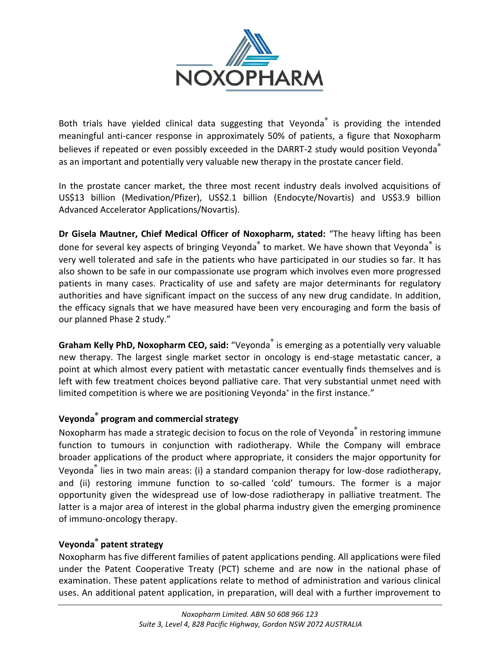

Both trials have yielded clinical data suggesting that Veyonda<sup>®</sup> is providing the intended meaningful anti-cancer response in approximately 50% of patients, a figure that Noxopharm believes if repeated or even possibly exceeded in the DARRT-2 study would position Veyonda as an important and potentially very valuable new therapy in the prostate cancer field.

In the prostate cancer market, the three most recent industry deals involved acquisitions of US\$13 billion (Medivation/Pfizer), US\$2.1 billion (Endocyte/Novartis) and US\$3.9 billion Advanced Accelerator Applications/Novartis).

**Dr Gisela Mautner, Chief Medical Officer of Noxopharm, stated:** "The heavy lifting has been done for several key aspects of bringing Veyonda<sup>®</sup> to market. We have shown that Veyonda<sup>®</sup> is very well tolerated and safe in the patients who have participated in our studies so far. It has also shown to be safe in our compassionate use program which involves even more progressed patients in many cases. Practicality of use and safety are major determinants for regulatory authorities and have significant impact on the success of any new drug candidate. In addition, the efficacy signals that we have measured have been very encouraging and form the basis of our planned Phase 2 study."

**Graham Kelly PhD, Noxopharm CEO, said:** "Veyonda® is emerging as a potentially very valuable new therapy. The largest single market sector in oncology is end-stage metastatic cancer, a point at which almost every patient with metastatic cancer eventually finds themselves and is left with few treatment choices beyond palliative care. That very substantial unmet need with limited competition is where we are positioning Veyonda<sup>®</sup> in the first instance."

## **Veyonda® program and commercial strategy**

Noxopharm has made a strategic decision to focus on the role of Veyonda<sup>®</sup> in restoring immune function to tumours in conjunction with radiotherapy. While the Company will embrace broader applications of the product where appropriate, it considers the major opportunity for Veyonda® lies in two main areas: (i) a standard companion therapy for low-dose radiotherapy, and (ii) restoring immune function to so-called 'cold' tumours. The former is a major opportunity given the widespread use of low-dose radiotherapy in palliative treatment. The latter is a major area of interest in the global pharma industry given the emerging prominence of immuno-oncology therapy.

## **Veyonda® patent strategy**

Noxopharm has five different families of patent applications pending. All applications were filed under the Patent Cooperative Treaty (PCT) scheme and are now in the national phase of examination. These patent applications relate to method of administration and various clinical uses. An additional patent application, in preparation, will deal with a further improvement to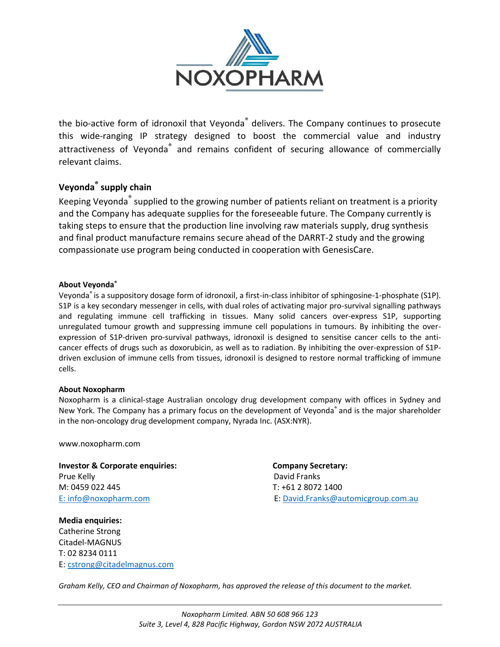

the bio-active form of idronoxil that Veyonda<sup>®</sup> delivers. The Company continues to prosecute this wide-ranging IP strategy designed to boost the commercial value and industry attractiveness of Veyonda<sup>®</sup> and remains confident of securing allowance of commercially relevant claims.

## **Veyonda® supply chain**

Keeping Veyonda<sup>®</sup> supplied to the growing number of patients reliant on treatment is a priority and the Company has adequate supplies for the foreseeable future. The Company currently is taking steps to ensure that the production line involving raw materials supply, drug synthesis and final product manufacture remains secure ahead of the DARRT-2 study and the growing compassionate use program being conducted in cooperation with GenesisCare.

#### **About Veyonda®**

Veyonda® is a suppository dosage form of idronoxil, a first-in-class inhibitor of sphingosine-1-phosphate (S1P). S1P is a key secondary messenger in cells, with dual roles of activating major pro-survival signalling pathways and regulating immune cell trafficking in tissues. Many solid cancers over-express S1P, supporting unregulated tumour growth and suppressing immune cell populations in tumours. By inhibiting the overexpression of S1P-driven pro-survival pathways, idronoxil is designed to sensitise cancer cells to the anticancer effects of drugs such as doxorubicin, as well as to radiation. By inhibiting the over-expression of S1Pdriven exclusion of immune cells from tissues, idronoxil is designed to restore normal trafficking of immune cells.

#### **About Noxopharm**

Noxopharm is a clinical-stage Australian oncology drug development company with offices in Sydney and New York. The Company has a primary focus on the development of Veyonda® and is the major shareholder in the non-oncology drug development company, Nyrada Inc. (ASX:NYR).

www.noxopharm.com

**Investor & Corporate enquiries: Company Secretary:**  Prue Kelly **David Franks** M: 0459 022 445 T: +61 2 8072 1400

**Media enquiries:** Catherine Strong Citadel-MAGNUS T: 02 8234 0111 E: [cstrong@citadelmagnus.com](mailto:cstrong@citadelmagnus.com)

E: [info@noxopharm.com](mailto:info@noxopharm.com) E: [David.Franks@automicgroup.com.au](mailto:David.Franks@automicgroup.com.au)

*Graham Kelly, CEO and Chairman of Noxopharm, has approved the release of this document to the market.*